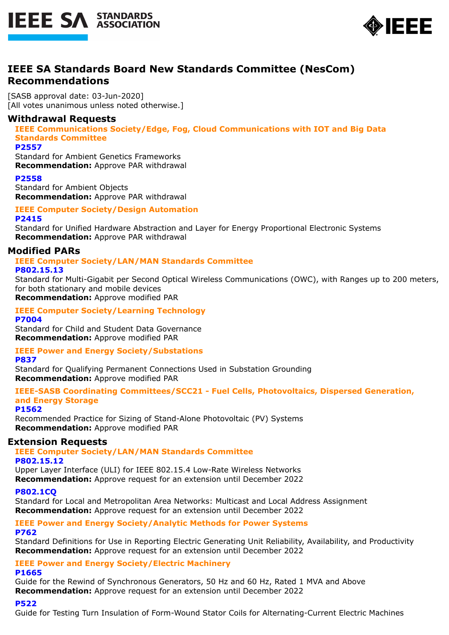



# **IEEE SA Standards Board New Standards Committee (NesCom) Recommendations**

[SASB approval date: 03-Jun-2020] [All votes unanimous unless noted otherwise.]

# **Withdrawal Requests**

**IEEE Communications Society/Edge, Fog, Cloud Communications with IOT and Big Data Standards Committee**

# **P2557**

Standard for Ambient Genetics Frameworks **Recommendation:** Approve PAR withdrawal

#### **P2558**

Standard for Ambient Objects **Recommendation:** Approve PAR withdrawal

**IEEE Computer Society/Design Automation P2415**

Standard for Unified Hardware Abstraction and Layer for Energy Proportional Electronic Systems **Recommendation:** Approve PAR withdrawal

# **Modified PARs**

**IEEE Computer Society/LAN/MAN Standards Committee P802.15.13**

Standard for Multi-Gigabit per Second Optical Wireless Communications (OWC), with Ranges up to 200 meters, for both stationary and mobile devices

**Recommendation:** Approve modified PAR

#### **IEEE Computer Society/Learning Technology P7004**

Standard for Child and Student Data Governance **Recommendation:** Approve modified PAR

# **IEEE Power and Energy Society/Substations**

**P837**

Standard for Qualifying Permanent Connections Used in Substation Grounding **Recommendation:** Approve modified PAR

**IEEE-SASB Coordinating Committees/SCC21 - Fuel Cells, Photovoltaics, Dispersed Generation, and Energy Storage**

#### **P1562**

Recommended Practice for Sizing of Stand-Alone Photovoltaic (PV) Systems **Recommendation:** Approve modified PAR

# **Extension Requests**

# **IEEE Computer Society/LAN/MAN Standards Committee**

#### **P802.15.12**

Upper Layer Interface (ULI) for IEEE 802.15.4 Low-Rate Wireless Networks **Recommendation:** Approve request for an extension until December 2022

# **P802.1CQ**

Standard for Local and Metropolitan Area Networks: Multicast and Local Address Assignment **Recommendation:** Approve request for an extension until December 2022

#### **IEEE Power and Energy Society/Analytic Methods for Power Systems P762**

Standard Definitions for Use in Reporting Electric Generating Unit Reliability, Availability, and Productivity **Recommendation:** Approve request for an extension until December 2022

**IEEE Power and Energy Society/Electric Machinery**

#### **P1665**

Guide for the Rewind of Synchronous Generators, 50 Hz and 60 Hz, Rated 1 MVA and Above **Recommendation:** Approve request for an extension until December 2022

#### **P522**

Guide for Testing Turn Insulation of Form-Wound Stator Coils for Alternating-Current Electric Machines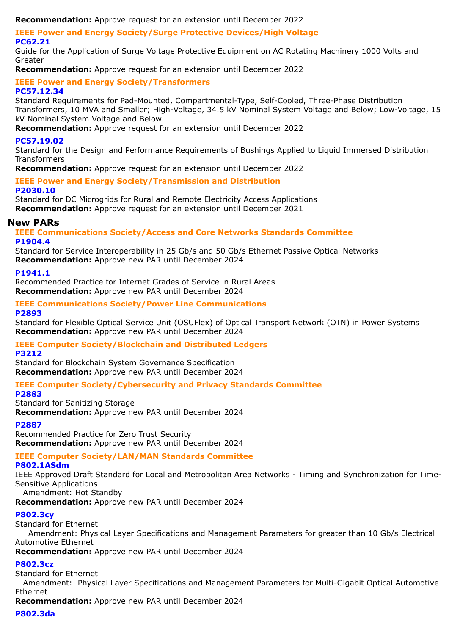**Recommendation:** Approve request for an extension until December 2022

**IEEE Power and Energy Society/Surge Protective Devices/High Voltage PC62.21**

Guide for the Application of Surge Voltage Protective Equipment on AC Rotating Machinery 1000 Volts and Greater

**Recommendation:** Approve request for an extension until December 2022

**IEEE Power and Energy Society/Transformers PC57.12.34**

Standard Requirements for Pad-Mounted, Compartmental-Type, Self-Cooled, Three-Phase Distribution Transformers, 10 MVA and Smaller; High-Voltage, 34.5 kV Nominal System Voltage and Below; Low-Voltage, 15 kV Nominal System Voltage and Below

**Recommendation:** Approve request for an extension until December 2022

#### **PC57.19.02**

Standard for the Design and Performance Requirements of Bushings Applied to Liquid Immersed Distribution **Transformers** 

**Recommendation:** Approve request for an extension until December 2022

# **IEEE Power and Energy Society/Transmission and Distribution**

#### **P2030.10**

Standard for DC Microgrids for Rural and Remote Electricity Access Applications **Recommendation:** Approve request for an extension until December 2021

#### **New PARs**

**IEEE Communications Society/Access and Core Networks Standards Committee P1904.4**

Standard for Service Interoperability in 25 Gb/s and 50 Gb/s Ethernet Passive Optical Networks **Recommendation:** Approve new PAR until December 2024

**P1941.1**

Recommended Practice for Internet Grades of Service in Rural Areas **Recommendation:** Approve new PAR until December 2024

#### **IEEE Communications Society/Power Line Communications P2893**

Standard for Flexible Optical Service Unit (OSUFlex) of Optical Transport Network (OTN) in Power Systems **Recommendation:** Approve new PAR until December 2024

# **IEEE Computer Society/Blockchain and Distributed Ledgers**

**P3212**

Standard for Blockchain System Governance Specification **Recommendation:** Approve new PAR until December 2024

# **IEEE Computer Society/Cybersecurity and Privacy Standards Committee**

**P2883**

Standard for Sanitizing Storage **Recommendation:** Approve new PAR until December 2024

# **P2887**

Recommended Practice for Zero Trust Security **Recommendation:** Approve new PAR until December 2024

# **IEEE Computer Society/LAN/MAN Standards Committee**

#### **P802.1ASdm**

IEEE Approved Draft Standard for Local and Metropolitan Area Networks - Timing and Synchronization for Time-Sensitive Applications

Amendment: Hot Standby

**Recommendation:** Approve new PAR until December 2024

# **P802.3cy**

Standard for Ethernet

 Amendment: Physical Layer Specifications and Management Parameters for greater than 10 Gb/s Electrical Automotive Ethernet

**Recommendation:** Approve new PAR until December 2024

# **P802.3cz**

Standard for Ethernet

 Amendment: Physical Layer Specifications and Management Parameters for Multi-Gigabit Optical Automotive Ethernet

**Recommendation:** Approve new PAR until December 2024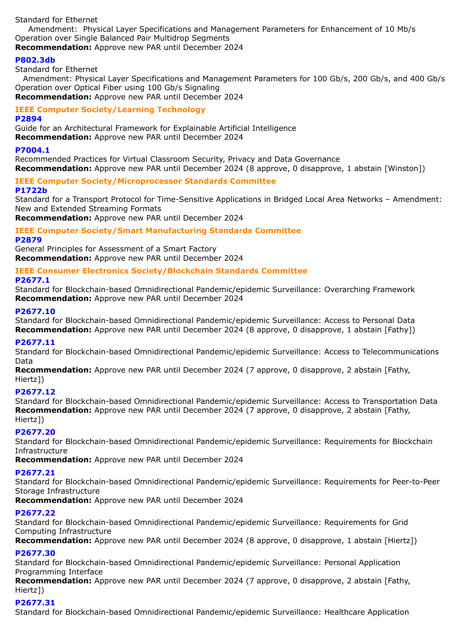Standard for Ethernet

 Amendment: Physical Layer Specifications and Management Parameters for Enhancement of 10 Mb/s Operation over Single Balanced Pair Multidrop Segments

# **Recommendation:** Approve new PAR until December 2024

# **P802.3db**

Standard for Ethernet

 Amendment: Physical Layer Specifications and Management Parameters for 100 Gb/s, 200 Gb/s, and 400 Gb/s Operation over Optical Fiber using 100 Gb/s Signaling **Recommendation:** Approve new PAR until December 2024

# **IEEE Computer Society/Learning Technology**

#### **P2894**

Guide for an Architectural Framework for Explainable Artificial Intelligence

**Recommendation:** Approve new PAR until December 2024

#### **P7004.1**

Recommended Practices for Virtual Classroom Security, Privacy and Data Governance **Recommendation:** Approve new PAR until December 2024 (8 approve, 0 disapprove, 1 abstain [Winston])

# **IEEE Computer Society/Microprocessor Standards Committee**

#### **P1722b**

Standard for a Transport Protocol for Time-Sensitive Applications in Bridged Local Area Networks – Amendment: New and Extended Streaming Formats

**Recommendation:** Approve new PAR until December 2024

# **IEEE Computer Society/Smart Manufacturing Standards Committee**

# **P2879**

General Principles for Assessment of a Smart Factory **Recommendation:** Approve new PAR until December 2024

#### **IEEE Consumer Electronics Society/Blockchain Standards Committee**

#### **P2677.1**

Standard for Blockchain-based Omnidirectional Pandemic/epidemic Surveillance: Overarching Framework **Recommendation:** Approve new PAR until December 2024

# **P2677.10**

Standard for Blockchain-based Omnidirectional Pandemic/epidemic Surveillance: Access to Personal Data **Recommendation:** Approve new PAR until December 2024 (8 approve, 0 disapprove, 1 abstain [Fathy])

# **P2677.11**

Standard for Blockchain-based Omnidirectional Pandemic/epidemic Surveillance: Access to Telecommunications Data

**Recommendation:** Approve new PAR until December 2024 (7 approve, 0 disapprove, 2 abstain [Fathy, Hiertz])

# **P2677.12**

Standard for Blockchain-based Omnidirectional Pandemic/epidemic Surveillance: Access to Transportation Data **Recommendation:** Approve new PAR until December 2024 (7 approve, 0 disapprove, 2 abstain [Fathy, Hiertz])

# **P2677.20**

Standard for Blockchain-based Omnidirectional Pandemic/epidemic Surveillance: Requirements for Blockchain Infrastructure

**Recommendation:** Approve new PAR until December 2024

# **P2677.21**

Standard for Blockchain-based Omnidirectional Pandemic/epidemic Surveillance: Requirements for Peer-to-Peer Storage Infrastructure

**Recommendation:** Approve new PAR until December 2024

# **P2677.22**

Standard for Blockchain-based Omnidirectional Pandemic/epidemic Surveillance: Requirements for Grid Computing Infrastructure

**Recommendation:** Approve new PAR until December 2024 (8 approve, 0 disapprove, 1 abstain [Hiertz])

# **P2677.30**

Standard for Blockchain-based Omnidirectional Pandemic/epidemic Surveillance: Personal Application Programming Interface

**Recommendation:** Approve new PAR until December 2024 (7 approve, 0 disapprove, 2 abstain [Fathy, Hiertz])

# **P2677.31**

Standard for Blockchain-based Omnidirectional Pandemic/epidemic Surveillance: Healthcare Application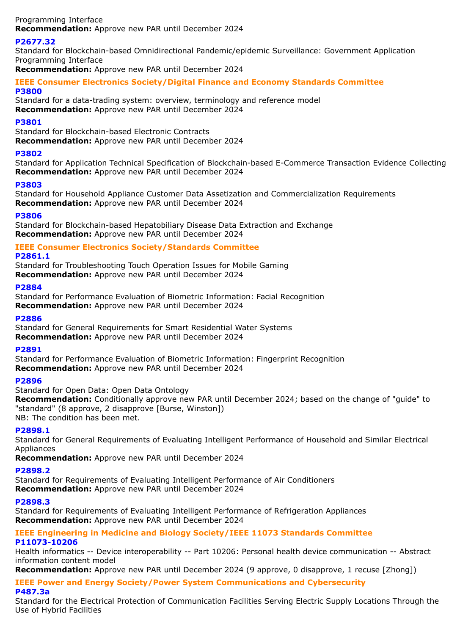Programming Interface **Recommendation:** Approve new PAR until December 2024

# **P2677.32**

Standard for Blockchain-based Omnidirectional Pandemic/epidemic Surveillance: Government Application Programming Interface

**Recommendation:** Approve new PAR until December 2024

#### **IEEE Consumer Electronics Society/Digital Finance and Economy Standards Committee P3800**

Standard for a data-trading system: overview, terminology and reference model **Recommendation:** Approve new PAR until December 2024

# **P3801**

Standard for Blockchain-based Electronic Contracts **Recommendation:** Approve new PAR until December 2024

# **P3802**

Standard for Application Technical Specification of Blockchain-based E-Commerce Transaction Evidence Collecting **Recommendation:** Approve new PAR until December 2024

# **P3803**

Standard for Household Appliance Customer Data Assetization and Commercialization Requirements **Recommendation:** Approve new PAR until December 2024

#### **P3806**

Standard for Blockchain-based Hepatobiliary Disease Data Extraction and Exchange **Recommendation:** Approve new PAR until December 2024

# **IEEE Consumer Electronics Society/Standards Committee**

#### **P2861.1**

Standard for Troubleshooting Touch Operation Issues for Mobile Gaming **Recommendation:** Approve new PAR until December 2024

#### **P2884**

Standard for Performance Evaluation of Biometric Information: Facial Recognition **Recommendation:** Approve new PAR until December 2024

# **P2886**

Standard for General Requirements for Smart Residential Water Systems **Recommendation:** Approve new PAR until December 2024

# **P2891**

Standard for Performance Evaluation of Biometric Information: Fingerprint Recognition **Recommendation:** Approve new PAR until December 2024

# **P2896**

Standard for Open Data: Open Data Ontology

**Recommendation:** Conditionally approve new PAR until December 2024; based on the change of "guide" to "standard" (8 approve, 2 disapprove [Burse, Winston]) NB: The condition has been met.

# **P2898.1**

Standard for General Requirements of Evaluating Intelligent Performance of Household and Similar Electrical Appliances

**Recommendation:** Approve new PAR until December 2024

# **P2898.2**

Standard for Requirements of Evaluating Intelligent Performance of Air Conditioners **Recommendation:** Approve new PAR until December 2024

# **P2898.3**

Standard for Requirements of Evaluating Intelligent Performance of Refrigeration Appliances **Recommendation:** Approve new PAR until December 2024

#### **IEEE Engineering in Medicine and Biology Society/IEEE 11073 Standards Committee P11073-10206**

Health informatics -- Device interoperability -- Part 10206: Personal health device communication -- Abstract information content model

**Recommendation:** Approve new PAR until December 2024 (9 approve, 0 disapprove, 1 recuse [Zhong])

# **IEEE Power and Energy Society/Power System Communications and Cybersecurity P487.3a**

Standard for the Electrical Protection of Communication Facilities Serving Electric Supply Locations Through the Use of Hybrid Facilities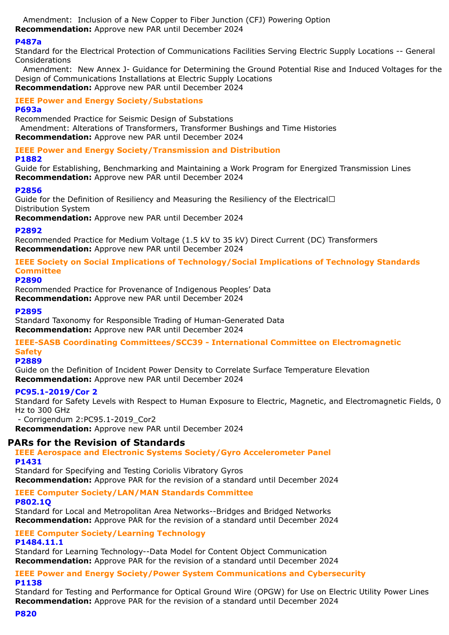Amendment: Inclusion of a New Copper to Fiber Junction (CFJ) Powering Option **Recommendation:** Approve new PAR until December 2024

#### **P487a**

Standard for the Electrical Protection of Communications Facilities Serving Electric Supply Locations -- General Considerations

 Amendment: New Annex J- Guidance for Determining the Ground Potential Rise and Induced Voltages for the Design of Communications Installations at Electric Supply Locations **Recommendation:** Approve new PAR until December 2024

# **IEEE Power and Energy Society/Substations**

#### **P693a**

Recommended Practice for Seismic Design of Substations Amendment: Alterations of Transformers, Transformer Bushings and Time Histories **Recommendation:** Approve new PAR until December 2024

#### **IEEE Power and Energy Society/Transmission and Distribution**

#### **P1882**

Guide for Establishing, Benchmarking and Maintaining a Work Program for Energized Transmission Lines **Recommendation:** Approve new PAR until December 2024

#### **P2856**

Guide for the Definition of Resiliency and Measuring the Resiliency of the Electrical $\Box$ Distribution System

**Recommendation:** Approve new PAR until December 2024

#### **P2892**

Recommended Practice for Medium Voltage (1.5 kV to 35 kV) Direct Current (DC) Transformers **Recommendation:** Approve new PAR until December 2024

**IEEE Society on Social Implications of Technology/Social Implications of Technology Standards Committee**

#### **P2890**

Recommended Practice for Provenance of Indigenous Peoples' Data **Recommendation:** Approve new PAR until December 2024

#### **P2895**

Standard Taxonomy for Responsible Trading of Human-Generated Data **Recommendation:** Approve new PAR until December 2024

#### **IEEE-SASB Coordinating Committees/SCC39 - International Committee on Electromagnetic Safety**

# **P2889**

Guide on the Definition of Incident Power Density to Correlate Surface Temperature Elevation **Recommendation:** Approve new PAR until December 2024

# **PC95.1-2019/Cor 2**

Standard for Safety Levels with Respect to Human Exposure to Electric, Magnetic, and Electromagnetic Fields, 0 Hz to 300 GHz

- Corrigendum 2:PC95.1-2019\_Cor2

**Recommendation:** Approve new PAR until December 2024

# **PARs for the Revision of Standards**

**IEEE Aerospace and Electronic Systems Society/Gyro Accelerometer Panel P1431**

Standard for Specifying and Testing Coriolis Vibratory Gyros **Recommendation:** Approve PAR for the revision of a standard until December 2024

**IEEE Computer Society/LAN/MAN Standards Committee**

# **P802.1Q**

Standard for Local and Metropolitan Area Networks--Bridges and Bridged Networks **Recommendation:** Approve PAR for the revision of a standard until December 2024

**IEEE Computer Society/Learning Technology**

#### **P1484.11.1**

Standard for Learning Technology--Data Model for Content Object Communication **Recommendation:** Approve PAR for the revision of a standard until December 2024

#### **IEEE Power and Energy Society/Power System Communications and Cybersecurity P1138**

Standard for Testing and Performance for Optical Ground Wire (OPGW) for Use on Electric Utility Power Lines **Recommendation:** Approve PAR for the revision of a standard until December 2024